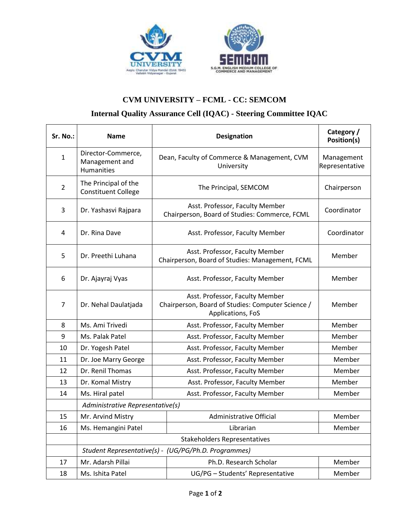



## **CVM UNIVERSITY – FCML - CC: SEMCOM Internal Quality Assurance Cell (IQAC) - Steering Committee IQAC**

| Sr. No.:       | <b>Name</b>                                               |                                                                                                           | <b>Designation</b>                                        | Category /<br>Position(s)    |  |
|----------------|-----------------------------------------------------------|-----------------------------------------------------------------------------------------------------------|-----------------------------------------------------------|------------------------------|--|
| 1              | Director-Commerce,<br>Management and<br><b>Humanities</b> |                                                                                                           | Dean, Faculty of Commerce & Management, CVM<br>University | Management<br>Representative |  |
| $\overline{2}$ | The Principal of the<br><b>Constituent College</b>        |                                                                                                           | The Principal, SEMCOM                                     | Chairperson                  |  |
| 3              | Dr. Yashasvi Rajpara                                      | Asst. Professor, Faculty Member<br>Chairperson, Board of Studies: Commerce, FCML                          |                                                           | Coordinator                  |  |
| 4              | Dr. Rina Dave                                             |                                                                                                           | Asst. Professor, Faculty Member                           | Coordinator                  |  |
| 5              | Dr. Preethi Luhana                                        | Asst. Professor, Faculty Member<br>Chairperson, Board of Studies: Management, FCML                        |                                                           | Member                       |  |
| 6              | Dr. Ajayraj Vyas                                          | Asst. Professor, Faculty Member                                                                           |                                                           | Member                       |  |
| $\overline{7}$ | Dr. Nehal Daulatjada                                      | Asst. Professor, Faculty Member<br>Chairperson, Board of Studies: Computer Science /<br>Applications, FoS |                                                           | Member                       |  |
| 8              | Ms. Ami Trivedi                                           |                                                                                                           | Asst. Professor, Faculty Member                           | Member                       |  |
| 9              | Ms. Palak Patel                                           | Asst. Professor, Faculty Member                                                                           |                                                           | Member                       |  |
| 10             | Dr. Yogesh Patel                                          | Asst. Professor, Faculty Member                                                                           |                                                           | Member                       |  |
| 11             | Dr. Joe Marry George                                      |                                                                                                           | Asst. Professor, Faculty Member                           | Member                       |  |
| 12             | Dr. Renil Thomas                                          | Asst. Professor, Faculty Member                                                                           |                                                           | Member                       |  |
| 13             | Dr. Komal Mistry                                          |                                                                                                           | Asst. Professor, Faculty Member                           | Member                       |  |
| 14             | Ms. Hiral patel                                           |                                                                                                           | Asst. Professor, Faculty Member                           | Member                       |  |
|                | Administrative Representative(s)                          |                                                                                                           |                                                           |                              |  |
| 15             | Mr. Arvind Mistry                                         |                                                                                                           | Administrative Official                                   | Member                       |  |
| 16             | Ms. Hemangini Patel                                       |                                                                                                           | Librarian                                                 | Member                       |  |
|                | <b>Stakeholders Representatives</b>                       |                                                                                                           |                                                           |                              |  |
|                |                                                           |                                                                                                           | Student Representative(s) - (UG/PG/Ph.D. Programmes)      |                              |  |
| 17             | Mr. Adarsh Pillai                                         |                                                                                                           | Ph.D. Research Scholar                                    | Member                       |  |
| 18             | Ms. Ishita Patel                                          |                                                                                                           | UG/PG - Students' Representative                          | Member                       |  |